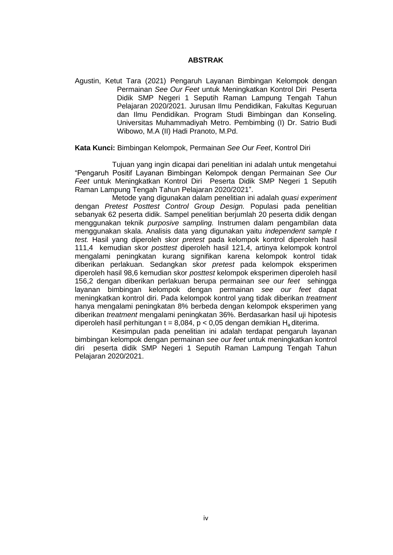## **ABSTRAK**

Agustin, Ketut Tara (2021) Pengaruh Layanan Bimbingan Kelompok dengan Permainan *See Our Feet* untuk Meningkatkan Kontrol Diri Peserta Didik SMP Negeri 1 Seputih Raman Lampung Tengah Tahun Pelajaran 2020/2021. Jurusan Ilmu Pendidikan, Fakultas Keguruan dan Ilmu Pendidikan. Program Studi Bimbingan dan Konseling. Universitas Muhammadiyah Metro. Pembimbing (I) Dr. Satrio Budi Wibowo, M.A (II) Hadi Pranoto, M.Pd.

## **Kata Kunci:** Bimbingan Kelompok, Permainan *See Our Feet*, Kontrol Diri

Tujuan yang ingin dicapai dari penelitian ini adalah untuk mengetahui "Pengaruh Positif Layanan Bimbingan Kelompok dengan Permainan *See Our Feet* untuk Meningkatkan Kontrol Diri Peserta Didik SMP Negeri 1 Seputih Raman Lampung Tengah Tahun Pelajaran 2020/2021".

Metode yang digunakan dalam penelitian ini adalah *quasi experiment*  dengan *Pretest Posttest Control Group Design.* Populasi pada penelitian sebanyak 62 peserta didik. Sampel penelitian berjumlah 20 peserta didik dengan menggunakan teknik *purposive sampling.* Instrumen dalam pengambilan data menggunakan skala. Analisis data yang digunakan yaitu *independent sample t test.* Hasil yang diperoleh skor *pretest* pada kelompok kontrol diperoleh hasil 111,4 kemudian skor *posttest* diperoleh hasil 121,4, artinya kelompok kontrol mengalami peningkatan kurang signifikan karena kelompok kontrol tidak diberikan perlakuan. Sedangkan skor *pretest* pada kelompok eksperimen diperoleh hasil 98,6 kemudian skor *posttest* kelompok eksperimen diperoleh hasil 156,2 dengan diberikan perlakuan berupa permainan *see our feet* sehingga layanan bimbingan kelompok dengan permainan *see our feet* dapat meningkatkan kontrol diri. Pada kelompok kontrol yang tidak diberikan *treatment*  hanya mengalami peningkatan 8% berbeda dengan kelompok eksperimen yang diberikan *treatment* mengalami peningkatan 36%. Berdasarkan hasil uji hipotesis diperoleh hasil perhitungan t = 8,084, p < 0,05 dengan demikian  $H_a$  diterima.

Kesimpulan pada penelitian ini adalah terdapat pengaruh layanan bimbingan kelompok dengan permainan *see our feet* untuk meningkatkan kontrol diri peserta didik SMP Negeri 1 Seputih Raman Lampung Tengah Tahun Pelajaran 2020/2021.